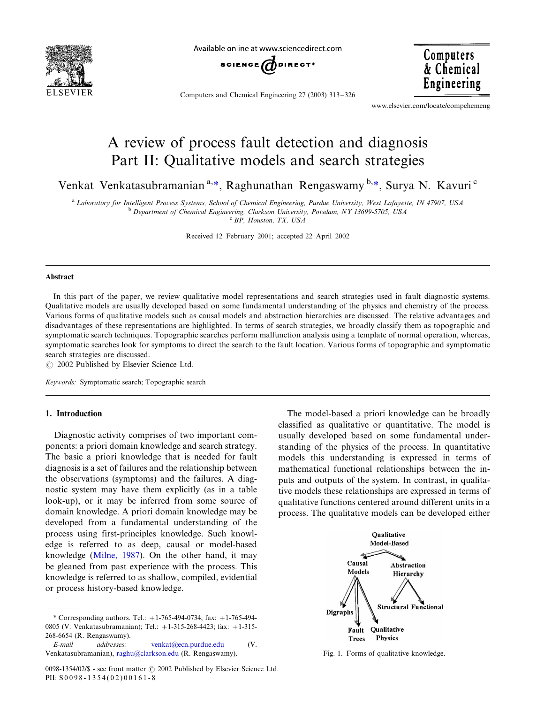

Available online at www.sciencedirect.com



Computers and Chemical Engineering 27 (2003) 313-326

www.elsevier.com/locate/compchemeng

**Computers** 

& Chemical Engineering

# A review of process fault detection and diagnosis Part II: Qualitative models and search strategies

Venkat Venkatasubramanian<sup>a,\*</sup>, Raghunathan Rengaswamy<sup>b,\*</sup>, Surya N. Kavuri<sup>c</sup>

<sup>a</sup> Laboratory for Intelligent Process Systems, School of Chemical Engineering, Purdue University, West Lafayette, IN 47907, USA<br><sup>b</sup> Department of Chemical Engineering, Clarkson University, Potsdam, NY 13699-5705, USA<br><sup>6</sup>

Received 12 February 2001; accepted 22 April 2002

### Abstract

In this part of the paper, we review qualitative model representations and search strategies used in fault diagnostic systems. Qualitative models are usually developed based on some fundamental understanding of the physics and chemistry of the process. Various forms of qualitative models such as causal models and abstraction hierarchies are discussed. The relative advantages and disadvantages of these representations are highlighted. In terms of search strategies, we broadly classify them as topographic and symptomatic search techniques. Topographic searches perform malfunction analysis using a template of normal operation, whereas, symptomatic searches look for symptoms to direct the search to the fault location. Various forms of topographic and symptomatic search strategies are discussed.

 $\odot$  2002 Published by Elsevier Science Ltd.

Keywords: Symptomatic search; Topographic search

# 1. Introduction

Diagnostic activity comprises of two important components: a priori domain knowledge and search strategy. The basic a priori knowledge that is needed for fault diagnosis is a set of failures and the relationship between the observations (symptoms) and the failures. A diagnostic system may have them explicitly (as in a table look-up), or it may be inferred from some source of domain knowledge. A priori domain knowledge may be developed from a fundamental understanding of the process using first-principles knowledge. Such knowledge is referred to as deep, causal or model-based knowledge (Milne, 1987). On the other hand, it may be gleaned from past experience with the process. This knowledge is referred to as shallow, compiled, evidential or process history-based knowledge.

0098-1354/02/\$ - see front matter © 2002 Published by Elsevier Science Ltd. PII:  $S0098 - 1354(02)00161 - 8$ 

The model-based a priori knowledge can be broadly classified as qualitative or quantitative. The model is usually developed based on some fundamental understanding of the physics of the process. In quantitative models this understanding is expressed in terms of mathematical functional relationships between the inputs and outputs of the system. In contrast, in qualitative models these relationships are expressed in terms of qualitative functions centered around different units in a process. The qualitative models can be developed either



Fig. 1. Forms of qualitative knowledge.

<sup>\*</sup> Corresponding authors. Tel.:  $+1-765-494-0734$ ; fax:  $+1-765-494-$ 0805 (V. Venkatasubramanian); Tel.: +1-315-268-4423; fax: +1-315-268-6654 (R. Rengaswamy).

E-mail addresses: venkat@ecn.purdue.edu (V. Venkatasubramanian), raghu@clarkson.edu (R. Rengaswamy).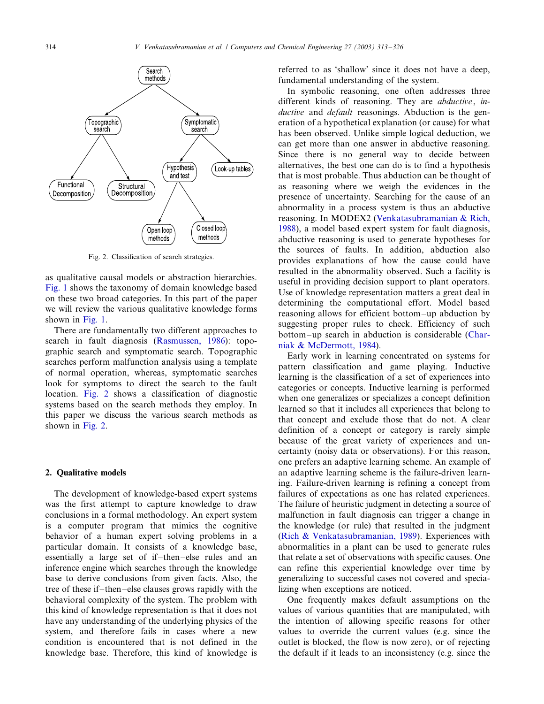

Fig. 2. Classification of search strategies.

as qualitative causal models or abstraction hierarchies. Fig. 1 shows the taxonomy of domain knowledge based on these two broad categories. In this part of the paper we will review the various qualitative knowledge forms shown in Fig. 1.

There are fundamentally two different approaches to search in fault diagnosis (Rasmussen, 1986): topographic search and symptomatic search. Topographic searches perform malfunction analysis using a template of normal operation, whereas, symptomatic searches look for symptoms to direct the search to the fault location. Fig. 2 shows a classification of diagnostic systems based on the search methods they employ. In this paper we discuss the various search methods as shown in Fig. 2.

#### 2. Qualitative models

The development of knowledge-based expert systems was the first attempt to capture knowledge to draw conclusions in a formal methodology. An expert system is a computer program that mimics the cognitive behavior of a human expert solving problems in a particular domain. It consists of a knowledge base, essentially a large set of if-then-else rules and an inference engine which searches through the knowledge base to derive conclusions from given facts. Also, the tree of these if-then-else clauses grows rapidly with the behavioral complexity of the system. The problem with this kind of knowledge representation is that it does not have any understanding of the underlying physics of the system, and therefore fails in cases where a new condition is encountered that is not defined in the knowledge base. Therefore, this kind of knowledge is referred to as 'shallow' since it does not have a deep, fundamental understanding of the system.

In symbolic reasoning, one often addresses three different kinds of reasoning. They are abductive, inductive and *default* reasonings. Abduction is the generation of a hypothetical explanation (or cause) for what has been observed. Unlike simple logical deduction, we can get more than one answer in abductive reasoning. Since there is no general way to decide between alternatives, the best one can do is to find a hypothesis that is most probable. Thus abduction can be thought of as reasoning where we weigh the evidences in the presence of uncertainty. Searching for the cause of an abnormality in a process system is thus an abductive reasoning. In MODEX2 (Venkatasubramanian & Rich, 1988), a model based expert system for fault diagnosis, abductive reasoning is used to generate hypotheses for the sources of faults. In addition, abduction also provides explanations of how the cause could have resulted in the abnormality observed. Such a facility is useful in providing decision support to plant operators. Use of knowledge representation matters a great deal in determining the computational effort. Model based reasoning allows for efficient bottom-up abduction by suggesting proper rules to check. Efficiency of such bottom-up search in abduction is considerable (Charniak & McDermott, 1984).

Early work in learning concentrated on systems for pattern classification and game playing. Inductive learning is the classification of a set of experiences into categories or concepts. Inductive learning is performed when one generalizes or specializes a concept definition learned so that it includes all experiences that belong to that concept and exclude those that do not. A clear definition of a concept or category is rarely simple because of the great variety of experiences and uncertainty (noisy data or observations). For this reason, one prefers an adaptive learning scheme. An example of an adaptive learning scheme is the failure-driven learning. Failure-driven learning is refining a concept from failures of expectations as one has related experiences. The failure of heuristic judgment in detecting a source of malfunction in fault diagnosis can trigger a change in the knowledge (or rule) that resulted in the judgment (Rich & Venkatasubramanian, 1989). Experiences with abnormalities in a plant can be used to generate rules that relate a set of observations with specific causes. One can refine this experiential knowledge over time by generalizing to successful cases not covered and specializing when exceptions are noticed.

One frequently makes default assumptions on the values of various quantities that are manipulated, with the intention of allowing specific reasons for other values to override the current values (e.g. since the outlet is blocked, the flow is now zero), or of rejecting the default if it leads to an inconsistency (e.g. since the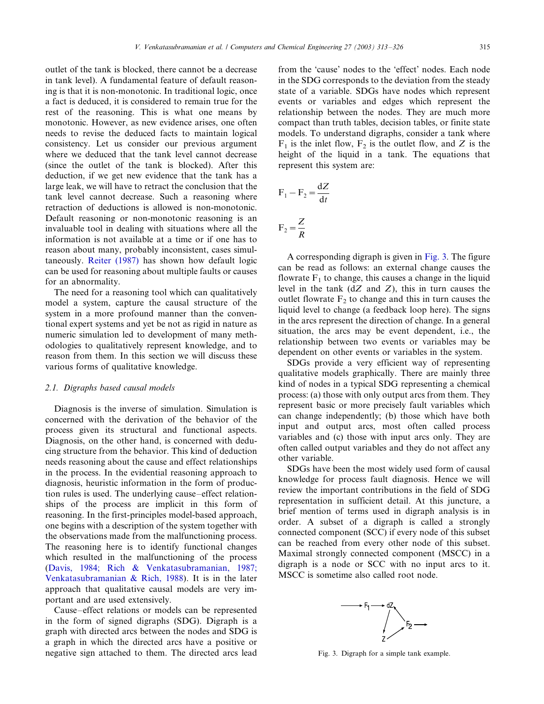outlet of the tank is blocked, there cannot be a decrease in tank level). A fundamental feature of default reasoning is that it is non-monotonic. In traditional logic, once a fact is deduced, it is considered to remain true for the rest of the reasoning. This is what one means by monotonic. However, as new evidence arises, one often needs to revise the deduced facts to maintain logical consistency. Let us consider our previous argument where we deduced that the tank level cannot decrease (since the outlet of the tank is blocked). After this deduction, if we get new evidence that the tank has a large leak, we will have to retract the conclusion that the tank level cannot decrease. Such a reasoning where retraction of deductions is allowed is non-monotonic. Default reasoning or non-monotonic reasoning is an invaluable tool in dealing with situations where all the information is not available at a time or if one has to reason about many, probably inconsistent, cases simultaneously. Reiter (1987) has shown how default logic can be used for reasoning about multiple faults or causes for an abnormality.

The need for a reasoning tool which can qualitatively model a system, capture the causal structure of the system in a more profound manner than the conventional expert systems and yet be not as rigid in nature as numeric simulation led to development of many methodologies to qualitatively represent knowledge, and to reason from them. In this section we will discuss these various forms of qualitative knowledge.

### 2.1. Digraphs based causal models

Diagnosis is the inverse of simulation. Simulation is concerned with the derivation of the behavior of the process given its structural and functional aspects. Diagnosis, on the other hand, is concerned with deducing structure from the behavior. This kind of deduction needs reasoning about the cause and effect relationships in the process. In the evidential reasoning approach to diagnosis, heuristic information in the form of production rules is used. The underlying cause-effect relationships of the process are implicit in this form of reasoning. In the first-principles model-based approach, one begins with a description of the system together with the observations made from the malfunctioning process. The reasoning here is to identify functional changes which resulted in the malfunctioning of the process (Davis, 1984; Rich & Venkatasubramanian, 1987; Venkatasubramanian & Rich, 1988). It is in the later approach that qualitative causal models are very important and are used extensively.

Cause-effect relations or models can be represented in the form of signed digraphs (SDG). Digraph is a graph with directed arcs between the nodes and SDG is a graph in which the directed arcs have a positive or negative sign attached to them. The directed arcs lead

from the 'cause' nodes to the 'effect' nodes. Each node in the SDG corresponds to the deviation from the steady state of a variable. SDGs have nodes which represent events or variables and edges which represent the relationship between the nodes. They are much more compact than truth tables, decision tables, or finite state models. To understand digraphs, consider a tank where  $F_1$  is the inlet flow,  $F_2$  is the outlet flow, and Z is the height of the liquid in a tank. The equations that represent this system are:

$$
F_1 - F_2 = \frac{dZ}{dt}
$$

$$
F_2 = \frac{Z}{R}
$$

A corresponding digraph is given in Fig. 3. The figure can be read as follows: an external change causes the flowrate  $F_1$  to change, this causes a change in the liquid level in the tank  $(dZ \text{ and } Z)$ , this in turn causes the outlet flowrate  $F_2$  to change and this in turn causes the liquid level to change (a feedback loop here). The signs in the arcs represent the direction of change. In a general situation, the arcs may be event dependent, i.e., the relationship between two events or variables may be dependent on other events or variables in the system.

SDGs provide a very efficient way of representing qualitative models graphically. There are mainly three kind of nodes in a typical SDG representing a chemical process: (a) those with only output arcs from them. They represent basic or more precisely fault variables which can change independently; (b) those which have both input and output arcs, most often called process variables and (c) those with input arcs only. They are often called output variables and they do not affect any other variable.

SDGs have been the most widely used form of causal knowledge for process fault diagnosis. Hence we will review the important contributions in the field of SDG representation in sufficient detail. At this juncture, a brief mention of terms used in digraph analysis is in order. A subset of a digraph is called a strongly connected component (SCC) if every node of this subset can be reached from every other node of this subset. Maximal strongly connected component (MSCC) in a digraph is a node or SCC with no input arcs to it. MSCC is sometime also called root node.



Fig. 3. Digraph for a simple tank example.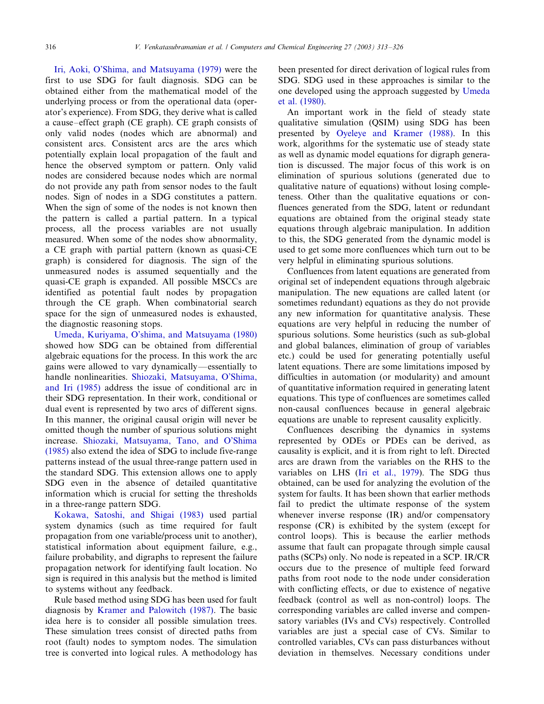Iri, Aoki, O'Shima, and Matsuyama (1979) were the first to use SDG for fault diagnosis. SDG can be obtained either from the mathematical model of the underlying process or from the operational data (operator's experience). From SDG, they derive what is called a cause-effect graph (CE graph). CE graph consists of only valid nodes (nodes which are abnormal) and consistent arcs. Consistent arcs are the arcs which potentially explain local propagation of the fault and hence the observed symptom or pattern. Only valid nodes are considered because nodes which are normal do not provide any path from sensor nodes to the fault nodes. Sign of nodes in a SDG constitutes a pattern. When the sign of some of the nodes is not known then the pattern is called a partial pattern. In a typical process, all the process variables are not usually measured. When some of the nodes show abnormality, a CE graph with partial pattern (known as quasi-CE graph) is considered for diagnosis. The sign of the unmeasured nodes is assumed sequentially and the quasi-CE graph is expanded. All possible MSCCs are identified as potential fault nodes by propagation through the CE graph. When combinatorial search space for the sign of unmeasured nodes is exhausted, the diagnostic reasoning stops.

Umeda, Kuriyama, O'shima, and Matsuyama (1980) showed how SDG can be obtained from differential algebraic equations for the process. In this work the arc gains were allowed to vary dynamically\*/essentially to handle nonlinearities. Shiozaki, Matsuyama, O'Shima, and Iri (1985) address the issue of conditional arc in their SDG representation. In their work, conditional or dual event is represented by two arcs of different signs. In this manner, the original causal origin will never be omitted though the number of spurious solutions might increase. Shiozaki, Matsuyama, Tano, and O'Shima (1985) also extend the idea of SDG to include five-range patterns instead of the usual three-range pattern used in the standard SDG. This extension allows one to apply SDG even in the absence of detailed quantitative information which is crucial for setting the thresholds in a three-range pattern SDG.

Kokawa, Satoshi, and Shigai (1983) used partial system dynamics (such as time required for fault propagation from one variable/process unit to another), statistical information about equipment failure, e.g., failure probability, and digraphs to represent the failure propagation network for identifying fault location. No sign is required in this analysis but the method is limited to systems without any feedback.

Rule based method using SDG has been used for fault diagnosis by Kramer and Palowitch (1987). The basic idea here is to consider all possible simulation trees. These simulation trees consist of directed paths from root (fault) nodes to symptom nodes. The simulation tree is converted into logical rules. A methodology has

been presented for direct derivation of logical rules from SDG. SDG used in these approaches is similar to the one developed using the approach suggested by Umeda et al. (1980).

An important work in the field of steady state qualitative simulation (QSIM) using SDG has been presented by Oyeleye and Kramer (1988). In this work, algorithms for the systematic use of steady state as well as dynamic model equations for digraph generation is discussed. The major focus of this work is on elimination of spurious solutions (generated due to qualitative nature of equations) without losing completeness. Other than the qualitative equations or confluences generated from the SDG, latent or redundant equations are obtained from the original steady state equations through algebraic manipulation. In addition to this, the SDG generated from the dynamic model is used to get some more confluences which turn out to be very helpful in eliminating spurious solutions.

Confluences from latent equations are generated from original set of independent equations through algebraic manipulation. The new equations are called latent (or sometimes redundant) equations as they do not provide any new information for quantitative analysis. These equations are very helpful in reducing the number of spurious solutions. Some heuristics (such as sub-global and global balances, elimination of group of variables etc.) could be used for generating potentially useful latent equations. There are some limitations imposed by difficulties in automation (or modularity) and amount of quantitative information required in generating latent equations. This type of confluences are sometimes called non-causal confluences because in general algebraic equations are unable to represent causality explicitly.

Confluences describing the dynamics in systems represented by ODEs or PDEs can be derived, as causality is explicit, and it is from right to left. Directed arcs are drawn from the variables on the RHS to the variables on LHS (Iri et al., 1979). The SDG thus obtained, can be used for analyzing the evolution of the system for faults. It has been shown that earlier methods fail to predict the ultimate response of the system whenever inverse response (IR) and/or compensatory response (CR) is exhibited by the system (except for control loops). This is because the earlier methods assume that fault can propagate through simple causal paths (SCPs) only. No node is repeated in a SCP. IR/CR occurs due to the presence of multiple feed forward paths from root node to the node under consideration with conflicting effects, or due to existence of negative feedback (control as well as non-control) loops. The corresponding variables are called inverse and compensatory variables (IVs and CVs) respectively. Controlled variables are just a special case of CVs. Similar to controlled variables, CVs can pass disturbances without deviation in themselves. Necessary conditions under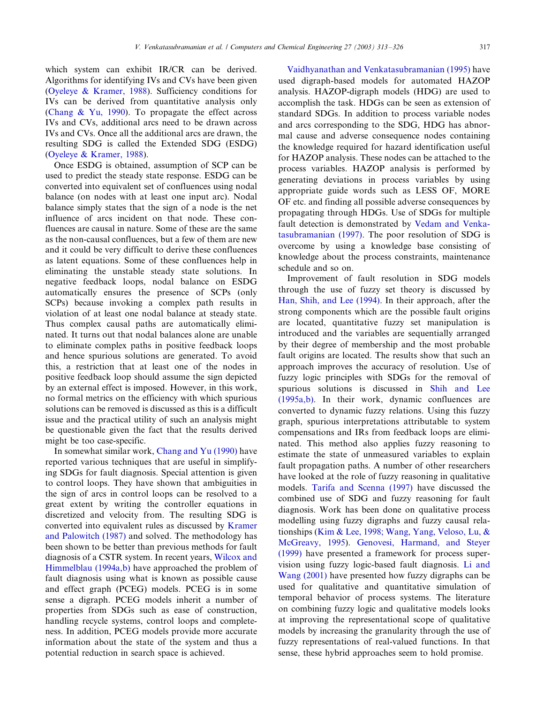which system can exhibit IR/CR can be derived. Algorithms for identifying IVs and CVs have been given (Oyeleye & Kramer, 1988). Sufficiency conditions for IVs can be derived from quantitative analysis only (Chang  $\&$  Yu, 1990). To propagate the effect across IVs and CVs, additional arcs need to be drawn across IVs and CVs. Once all the additional arcs are drawn, the resulting SDG is called the Extended SDG (ESDG) (Oyeleye & Kramer, 1988).

Once ESDG is obtained, assumption of SCP can be used to predict the steady state response. ESDG can be converted into equivalent set of confluences using nodal balance (on nodes with at least one input arc). Nodal balance simply states that the sign of a node is the net influence of arcs incident on that node. These confluences are causal in nature. Some of these are the same as the non-causal confluences, but a few of them are new and it could be very difficult to derive these confluences as latent equations. Some of these confluences help in eliminating the unstable steady state solutions. In negative feedback loops, nodal balance on ESDG automatically ensures the presence of SCPs (only SCPs) because invoking a complex path results in violation of at least one nodal balance at steady state. Thus complex causal paths are automatically eliminated. It turns out that nodal balances alone are unable to eliminate complex paths in positive feedback loops and hence spurious solutions are generated. To avoid this, a restriction that at least one of the nodes in positive feedback loop should assume the sign depicted by an external effect is imposed. However, in this work, no formal metrics on the efficiency with which spurious solutions can be removed is discussed as this is a difficult issue and the practical utility of such an analysis might be questionable given the fact that the results derived might be too case-specific.

In somewhat similar work, Chang and Yu (1990) have reported various techniques that are useful in simplifying SDGs for fault diagnosis. Special attention is given to control loops. They have shown that ambiguities in the sign of arcs in control loops can be resolved to a great extent by writing the controller equations in discretized and velocity from. The resulting SDG is converted into equivalent rules as discussed by Kramer and Palowitch (1987) and solved. The methodology has been shown to be better than previous methods for fault diagnosis of a CSTR system. In recent years, Wilcox and Himmelblau (1994a,b) have approached the problem of fault diagnosis using what is known as possible cause and effect graph (PCEG) models. PCEG is in some sense a digraph. PCEG models inherit a number of properties from SDGs such as ease of construction, handling recycle systems, control loops and completeness. In addition, PCEG models provide more accurate information about the state of the system and thus a potential reduction in search space is achieved.

Vaidhyanathan and Venkatasubramanian (1995) have used digraph-based models for automated HAZOP analysis. HAZOP-digraph models (HDG) are used to accomplish the task. HDGs can be seen as extension of standard SDGs. In addition to process variable nodes and arcs corresponding to the SDG, HDG has abnormal cause and adverse consequence nodes containing the knowledge required for hazard identification useful for HAZOP analysis. These nodes can be attached to the process variables. HAZOP analysis is performed by generating deviations in process variables by using appropriate guide words such as LESS OF, MORE OF etc. and finding all possible adverse consequences by propagating through HDGs. Use of SDGs for multiple fault detection is demonstrated by Vedam and Venkatasubramanian (1997). The poor resolution of SDG is overcome by using a knowledge base consisting of knowledge about the process constraints, maintenance schedule and so on.

Improvement of fault resolution in SDG models through the use of fuzzy set theory is discussed by Han, Shih, and Lee (1994). In their approach, after the strong components which are the possible fault origins are located, quantitative fuzzy set manipulation is introduced and the variables are sequentially arranged by their degree of membership and the most probable fault origins are located. The results show that such an approach improves the accuracy of resolution. Use of fuzzy logic principles with SDGs for the removal of spurious solutions is discussed in Shih and Lee (1995a,b). In their work, dynamic confluences are converted to dynamic fuzzy relations. Using this fuzzy graph, spurious interpretations attributable to system compensations and IRs from feedback loops are eliminated. This method also applies fuzzy reasoning to estimate the state of unmeasured variables to explain fault propagation paths. A number of other researchers have looked at the role of fuzzy reasoning in qualitative models. Tarifa and Scenna (1997) have discussed the combined use of SDG and fuzzy reasoning for fault diagnosis. Work has been done on qualitative process modelling using fuzzy digraphs and fuzzy causal relationships (Kim & Lee, 1998; Wang, Yang, Veloso, Lu, & McGreavy, 1995). Genovesi, Harmand, and Steyer (1999) have presented a framework for process supervision using fuzzy logic-based fault diagnosis. Li and Wang (2001) have presented how fuzzy digraphs can be used for qualitative and quantitative simulation of temporal behavior of process systems. The literature on combining fuzzy logic and qualitative models looks at improving the representational scope of qualitative models by increasing the granularity through the use of fuzzy representations of real-valued functions. In that sense, these hybrid approaches seem to hold promise.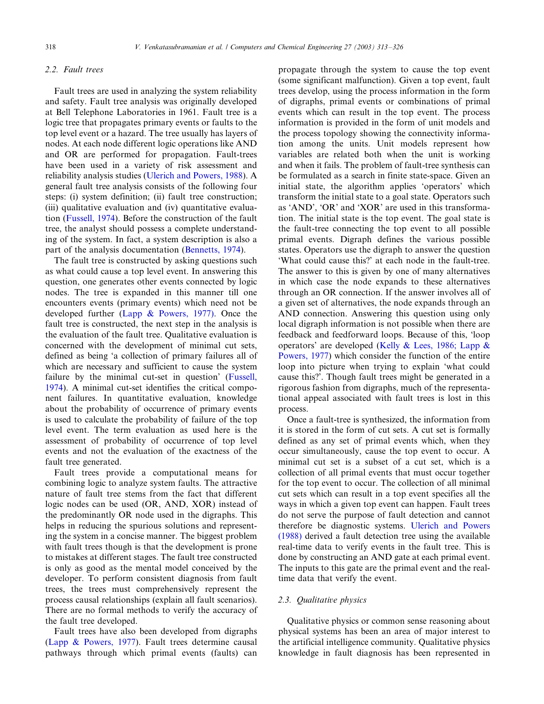# 2.2. Fault trees

Fault trees are used in analyzing the system reliability and safety. Fault tree analysis was originally developed at Bell Telephone Laboratories in 1961. Fault tree is a logic tree that propagates primary events or faults to the top level event or a hazard. The tree usually has layers of nodes. At each node different logic operations like AND and OR are performed for propagation. Fault-trees have been used in a variety of risk assessment and reliability analysis studies (Ulerich and Powers, 1988). A general fault tree analysis consists of the following four steps: (i) system definition; (ii) fault tree construction; (iii) qualitative evaluation and (iv) quantitative evaluation (Fussell, 1974). Before the construction of the fault tree, the analyst should possess a complete understanding of the system. In fact, a system description is also a part of the analysis documentation (Bennetts, 1974).

The fault tree is constructed by asking questions such as what could cause a top level event. In answering this question, one generates other events connected by logic nodes. The tree is expanded in this manner till one encounters events (primary events) which need not be developed further (Lapp & Powers, 1977). Once the fault tree is constructed, the next step in the analysis is the evaluation of the fault tree. Qualitative evaluation is concerned with the development of minimal cut sets, defined as being 'a collection of primary failures all of which are necessary and sufficient to cause the system failure by the minimal cut-set in question' (Fussell, 1974). A minimal cut-set identifies the critical component failures. In quantitative evaluation, knowledge about the probability of occurrence of primary events is used to calculate the probability of failure of the top level event. The term evaluation as used here is the assessment of probability of occurrence of top level events and not the evaluation of the exactness of the fault tree generated.

Fault trees provide a computational means for combining logic to analyze system faults. The attractive nature of fault tree stems from the fact that different logic nodes can be used (OR, AND, XOR) instead of the predominantly OR node used in the digraphs. This helps in reducing the spurious solutions and representing the system in a concise manner. The biggest problem with fault trees though is that the development is prone to mistakes at different stages. The fault tree constructed is only as good as the mental model conceived by the developer. To perform consistent diagnosis from fault trees, the trees must comprehensively represent the process causal relationships (explain all fault scenarios). There are no formal methods to verify the accuracy of the fault tree developed.

Fault trees have also been developed from digraphs (Lapp & Powers, 1977). Fault trees determine causal pathways through which primal events (faults) can

propagate through the system to cause the top event (some significant malfunction). Given a top event, fault trees develop, using the process information in the form of digraphs, primal events or combinations of primal events which can result in the top event. The process information is provided in the form of unit models and the process topology showing the connectivity information among the units. Unit models represent how variables are related both when the unit is working and when it fails. The problem of fault-tree synthesis can be formulated as a search in finite state-space. Given an initial state, the algorithm applies 'operators' which transform the initial state to a goal state. Operators such as 'AND', 'OR' and 'XOR' are used in this transformation. The initial state is the top event. The goal state is the fault-tree connecting the top event to all possible primal events. Digraph defines the various possible states. Operators use the digraph to answer the question 'What could cause this?' at each node in the fault-tree. The answer to this is given by one of many alternatives in which case the node expands to these alternatives through an OR connection. If the answer involves all of a given set of alternatives, the node expands through an AND connection. Answering this question using only local digraph information is not possible when there are feedback and feedforward loops. Because of this, 'loop operators' are developed (Kelly & Lees, 1986; Lapp & Powers, 1977) which consider the function of the entire loop into picture when trying to explain 'what could cause this?'. Though fault trees might be generated in a rigorous fashion from digraphs, much of the representational appeal associated with fault trees is lost in this process.

Once a fault-tree is synthesized, the information from it is stored in the form of cut sets. A cut set is formally defined as any set of primal events which, when they occur simultaneously, cause the top event to occur. A minimal cut set is a subset of a cut set, which is a collection of all primal events that must occur together for the top event to occur. The collection of all minimal cut sets which can result in a top event specifies all the ways in which a given top event can happen. Fault trees do not serve the purpose of fault detection and cannot therefore be diagnostic systems. Ulerich and Powers (1988) derived a fault detection tree using the available real-time data to verify events in the fault tree. This is done by constructing an AND gate at each primal event. The inputs to this gate are the primal event and the realtime data that verify the event.

# 2.3. Qualitative physics

Qualitative physics or common sense reasoning about physical systems has been an area of major interest to the artificial intelligence community. Qualitative physics knowledge in fault diagnosis has been represented in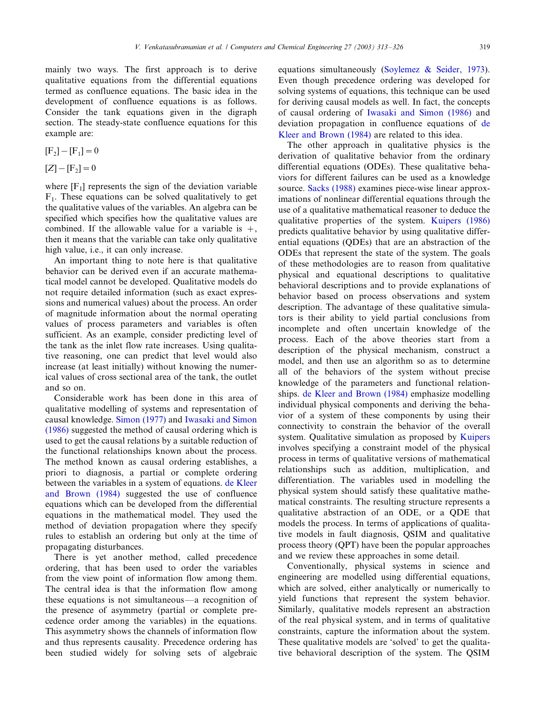mainly two ways. The first approach is to derive qualitative equations from the differential equations termed as confluence equations. The basic idea in the development of confluence equations is as follows. Consider the tank equations given in the digraph section. The steady-state confluence equations for this example are:

$$
[\mathbf{F}_2] - [\mathbf{F}_1] = 0
$$

$$
[Z] - [\mathbf{F}_2] = 0
$$

where  $[F_1]$  represents the sign of the deviation variable  $F_1$ . These equations can be solved qualitatively to get the qualitative values of the variables. An algebra can be specified which specifies how the qualitative values are combined. If the allowable value for a variable is  $+$ , then it means that the variable can take only qualitative high value, i.e., it can only increase.

An important thing to note here is that qualitative behavior can be derived even if an accurate mathematical model cannot be developed. Qualitative models do not require detailed information (such as exact expressions and numerical values) about the process. An order of magnitude information about the normal operating values of process parameters and variables is often sufficient. As an example, consider predicting level of the tank as the inlet flow rate increases. Using qualitative reasoning, one can predict that level would also increase (at least initially) without knowing the numerical values of cross sectional area of the tank, the outlet and so on.

Considerable work has been done in this area of qualitative modelling of systems and representation of causal knowledge. Simon (1977) and Iwasaki and Simon (1986) suggested the method of causal ordering which is used to get the causal relations by a suitable reduction of the functional relationships known about the process. The method known as causal ordering establishes, a priori to diagnosis, a partial or complete ordering between the variables in a system of equations. de Kleer and Brown (1984) suggested the use of confluence equations which can be developed from the differential equations in the mathematical model. They used the method of deviation propagation where they specify rules to establish an ordering but only at the time of propagating disturbances.

There is yet another method, called precedence ordering, that has been used to order the variables from the view point of information flow among them. The central idea is that the information flow among these equations is not simultaneous—a recognition of the presence of asymmetry (partial or complete precedence order among the variables) in the equations. This asymmetry shows the channels of information flow and thus represents causality. Precedence ordering has been studied widely for solving sets of algebraic

equations simultaneously (Soylemez & Seider, 1973). Even though precedence ordering was developed for solving systems of equations, this technique can be used for deriving causal models as well. In fact, the concepts of causal ordering of Iwasaki and Simon (1986) and deviation propagation in confluence equations of de Kleer and Brown (1984) are related to this idea.

The other approach in qualitative physics is the derivation of qualitative behavior from the ordinary differential equations (ODEs). These qualitative behaviors for different failures can be used as a knowledge source. Sacks (1988) examines piece-wise linear approximations of nonlinear differential equations through the use of a qualitative mathematical reasoner to deduce the qualitative properties of the system. Kuipers (1986) predicts qualitative behavior by using qualitative differential equations (QDEs) that are an abstraction of the ODEs that represent the state of the system. The goals of these methodologies are to reason from qualitative physical and equational descriptions to qualitative behavioral descriptions and to provide explanations of behavior based on process observations and system description. The advantage of these qualitative simulators is their ability to yield partial conclusions from incomplete and often uncertain knowledge of the process. Each of the above theories start from a description of the physical mechanism, construct a model, and then use an algorithm so as to determine all of the behaviors of the system without precise knowledge of the parameters and functional relationships. de Kleer and Brown (1984) emphasize modelling individual physical components and deriving the behavior of a system of these components by using their connectivity to constrain the behavior of the overall system. Qualitative simulation as proposed by Kuipers involves specifying a constraint model of the physical process in terms of qualitative versions of mathematical relationships such as addition, multiplication, and differentiation. The variables used in modelling the physical system should satisfy these qualitative mathematical constraints. The resulting structure represents a qualitative abstraction of an ODE, or a QDE that models the process. In terms of applications of qualitative models in fault diagnosis, QSIM and qualitative process theory (QPT) have been the popular approaches and we review these approaches in some detail.

Conventionally, physical systems in science and engineering are modelled using differential equations, which are solved, either analytically or numerically to yield functions that represent the system behavior. Similarly, qualitative models represent an abstraction of the real physical system, and in terms of qualitative constraints, capture the information about the system. These qualitative models are 'solved' to get the qualitative behavioral description of the system. The QSIM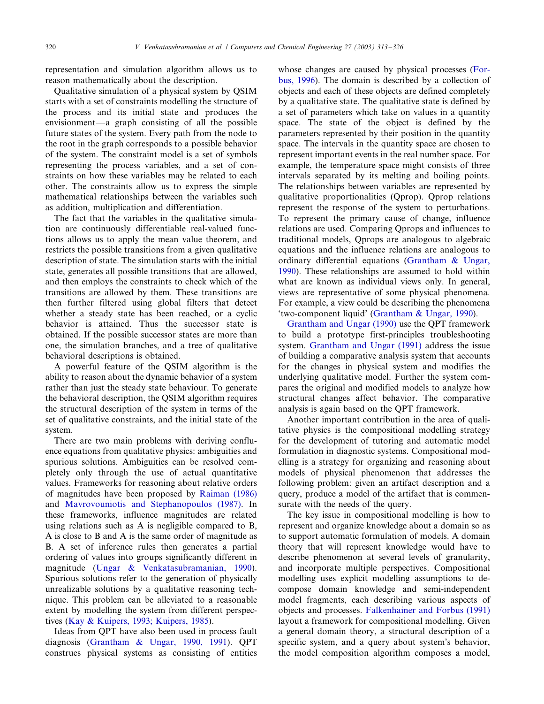representation and simulation algorithm allows us to reason mathematically about the description.

Qualitative simulation of a physical system by QSIM starts with a set of constraints modelling the structure of the process and its initial state and produces the envisionment—a graph consisting of all the possible future states of the system. Every path from the node to the root in the graph corresponds to a possible behavior of the system. The constraint model is a set of symbols representing the process variables, and a set of constraints on how these variables may be related to each other. The constraints allow us to express the simple mathematical relationships between the variables such as addition, multiplication and differentiation.

The fact that the variables in the qualitative simulation are continuously differentiable real-valued functions allows us to apply the mean value theorem, and restricts the possible transitions from a given qualitative description of state. The simulation starts with the initial state, generates all possible transitions that are allowed, and then employs the constraints to check which of the transitions are allowed by them. These transitions are then further filtered using global filters that detect whether a steady state has been reached, or a cyclic behavior is attained. Thus the successor state is obtained. If the possible successor states are more than one, the simulation branches, and a tree of qualitative behavioral descriptions is obtained.

A powerful feature of the QSIM algorithm is the ability to reason about the dynamic behavior of a system rather than just the steady state behaviour. To generate the behavioral description, the QSIM algorithm requires the structural description of the system in terms of the set of qualitative constraints, and the initial state of the system.

There are two main problems with deriving confluence equations from qualitative physics: ambiguities and spurious solutions. Ambiguities can be resolved completely only through the use of actual quantitative values. Frameworks for reasoning about relative orders of magnitudes have been proposed by Raiman (1986) and Mavrovouniotis and Stephanopoulos (1987). In these frameworks, influence magnitudes are related using relations such as A is negligible compared to B, A is close to B and A is the same order of magnitude as B. A set of inference rules then generates a partial ordering of values into groups significantly different in magnitude (Ungar & Venkatasubramanian, 1990). Spurious solutions refer to the generation of physically unrealizable solutions by a qualitative reasoning technique. This problem can be alleviated to a reasonable extent by modelling the system from different perspectives (Kay & Kuipers, 1993; Kuipers, 1985).

Ideas from QPT have also been used in process fault diagnosis (Grantham & Ungar, 1990, 1991). QPT construes physical systems as consisting of entities whose changes are caused by physical processes (Forbus, 1996). The domain is described by a collection of objects and each of these objects are defined completely by a qualitative state. The qualitative state is defined by a set of parameters which take on values in a quantity space. The state of the object is defined by the parameters represented by their position in the quantity space. The intervals in the quantity space are chosen to represent important events in the real number space. For example, the temperature space might consists of three intervals separated by its melting and boiling points. The relationships between variables are represented by qualitative proportionalities (Qprop). Qprop relations represent the response of the system to perturbations. To represent the primary cause of change, influence relations are used. Comparing Qprops and influences to traditional models, Qprops are analogous to algebraic equations and the influence relations are analogous to ordinary differential equations (Grantham & Ungar, 1990). These relationships are assumed to hold within what are known as individual views only. In general, views are representative of some physical phenomena. For example, a view could be describing the phenomena 'two-component liquid' (Grantham & Ungar, 1990).

Grantham and Ungar (1990) use the QPT framework to build a prototype first-principles troubleshooting system. Grantham and Ungar (1991) address the issue of building a comparative analysis system that accounts for the changes in physical system and modifies the underlying qualitative model. Further the system compares the original and modified models to analyze how structural changes affect behavior. The comparative analysis is again based on the QPT framework.

Another important contribution in the area of qualitative physics is the compositional modelling strategy for the development of tutoring and automatic model formulation in diagnostic systems. Compositional modelling is a strategy for organizing and reasoning about models of physical phenomenon that addresses the following problem: given an artifact description and a query, produce a model of the artifact that is commensurate with the needs of the query.

The key issue in compositional modelling is how to represent and organize knowledge about a domain so as to support automatic formulation of models. A domain theory that will represent knowledge would have to describe phenomenon at several levels of granularity, and incorporate multiple perspectives. Compositional modelling uses explicit modelling assumptions to decompose domain knowledge and semi-independent model fragments, each describing various aspects of objects and processes. Falkenhainer and Forbus (1991) layout a framework for compositional modelling. Given a general domain theory, a structural description of a specific system, and a query about system's behavior, the model composition algorithm composes a model,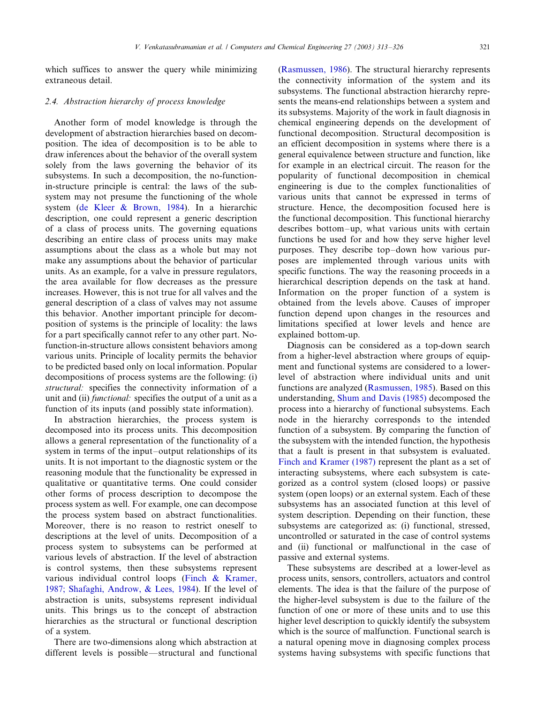which suffices to answer the query while minimizing extraneous detail.

# 2.4. Abstraction hierarchy of process knowledge

Another form of model knowledge is through the development of abstraction hierarchies based on decomposition. The idea of decomposition is to be able to draw inferences about the behavior of the overall system solely from the laws governing the behavior of its subsystems. In such a decomposition, the no-functionin-structure principle is central: the laws of the subsystem may not presume the functioning of the whole system (de Kleer & Brown, 1984). In a hierarchic description, one could represent a generic description of a class of process units. The governing equations describing an entire class of process units may make assumptions about the class as a whole but may not make any assumptions about the behavior of particular units. As an example, for a valve in pressure regulators, the area available for flow decreases as the pressure increases. However, this is not true for all valves and the general description of a class of valves may not assume this behavior. Another important principle for decomposition of systems is the principle of locality: the laws for a part specifically cannot refer to any other part. Nofunction-in-structure allows consistent behaviors among various units. Principle of locality permits the behavior to be predicted based only on local information. Popular decompositions of process systems are the following: (i) structural: specifies the connectivity information of a unit and (ii) *functional*: specifies the output of a unit as a function of its inputs (and possibly state information).

In abstraction hierarchies, the process system is decomposed into its process units. This decomposition allows a general representation of the functionality of a system in terms of the input-output relationships of its units. It is not important to the diagnostic system or the reasoning module that the functionality be expressed in qualitative or quantitative terms. One could consider other forms of process description to decompose the process system as well. For example, one can decompose the process system based on abstract functionalities. Moreover, there is no reason to restrict oneself to descriptions at the level of units. Decomposition of a process system to subsystems can be performed at various levels of abstraction. If the level of abstraction is control systems, then these subsystems represent various individual control loops (Finch & Kramer, 1987; Shafaghi, Androw, & Lees, 1984). If the level of abstraction is units, subsystems represent individual units. This brings us to the concept of abstraction hierarchies as the structural or functional description of a system.

There are two-dimensions along which abstraction at different levels is possible—structural and functional (Rasmussen, 1986). The structural hierarchy represents the connectivity information of the system and its subsystems. The functional abstraction hierarchy represents the means-end relationships between a system and its subsystems. Majority of the work in fault diagnosis in chemical engineering depends on the development of functional decomposition. Structural decomposition is an efficient decomposition in systems where there is a general equivalence between structure and function, like for example in an electrical circuit. The reason for the popularity of functional decomposition in chemical engineering is due to the complex functionalities of various units that cannot be expressed in terms of structure. Hence, the decomposition focused here is the functional decomposition. This functional hierarchy describes bottom-up, what various units with certain functions be used for and how they serve higher level purposes. They describe top-down how various purposes are implemented through various units with specific functions. The way the reasoning proceeds in a hierarchical description depends on the task at hand. Information on the proper function of a system is obtained from the levels above. Causes of improper function depend upon changes in the resources and limitations specified at lower levels and hence are explained bottom-up.

Diagnosis can be considered as a top-down search from a higher-level abstraction where groups of equipment and functional systems are considered to a lowerlevel of abstraction where individual units and unit functions are analyzed (Rasmussen, 1985). Based on this understanding, Shum and Davis (1985) decomposed the process into a hierarchy of functional subsystems. Each node in the hierarchy corresponds to the intended function of a subsystem. By comparing the function of the subsystem with the intended function, the hypothesis that a fault is present in that subsystem is evaluated. Finch and Kramer (1987) represent the plant as a set of interacting subsystems, where each subsystem is categorized as a control system (closed loops) or passive system (open loops) or an external system. Each of these subsystems has an associated function at this level of system description. Depending on their function, these subsystems are categorized as: (i) functional, stressed, uncontrolled or saturated in the case of control systems and (ii) functional or malfunctional in the case of passive and external systems.

These subsystems are described at a lower-level as process units, sensors, controllers, actuators and control elements. The idea is that the failure of the purpose of the higher-level subsystem is due to the failure of the function of one or more of these units and to use this higher level description to quickly identify the subsystem which is the source of malfunction. Functional search is a natural opening move in diagnosing complex process systems having subsystems with specific functions that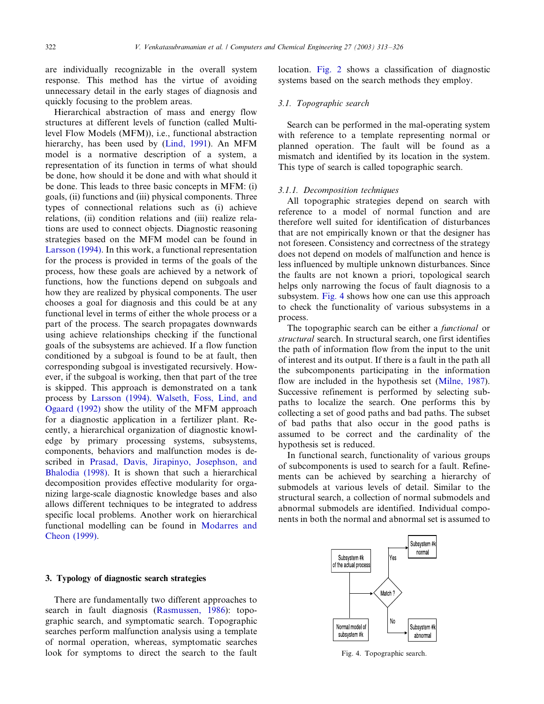are individually recognizable in the overall system response. This method has the virtue of avoiding unnecessary detail in the early stages of diagnosis and quickly focusing to the problem areas.

Hierarchical abstraction of mass and energy flow structures at different levels of function (called Multilevel Flow Models (MFM)), i.e., functional abstraction hierarchy, has been used by (Lind, 1991). An MFM model is a normative description of a system, a representation of its function in terms of what should be done, how should it be done and with what should it be done. This leads to three basic concepts in MFM: (i) goals, (ii) functions and (iii) physical components. Three types of connectional relations such as (i) achieve relations, (ii) condition relations and (iii) realize relations are used to connect objects. Diagnostic reasoning strategies based on the MFM model can be found in Larsson (1994). In this work, a functional representation for the process is provided in terms of the goals of the process, how these goals are achieved by a network of functions, how the functions depend on subgoals and how they are realized by physical components. The user chooses a goal for diagnosis and this could be at any functional level in terms of either the whole process or a part of the process. The search propagates downwards using achieve relationships checking if the functional goals of the subsystems are achieved. If a flow function conditioned by a subgoal is found to be at fault, then corresponding subgoal is investigated recursively. However, if the subgoal is working, then that part of the tree is skipped. This approach is demonstrated on a tank process by Larsson (1994). Walseth, Foss, Lind, and Ogaard (1992) show the utility of the MFM approach for a diagnostic application in a fertilizer plant. Recently, a hierarchical organization of diagnostic knowledge by primary processing systems, subsystems, components, behaviors and malfunction modes is described in Prasad, Davis, Jirapinyo, Josephson, and Bhalodia (1998). It is shown that such a hierarchical decomposition provides effective modularity for organizing large-scale diagnostic knowledge bases and also allows different techniques to be integrated to address specific local problems. Another work on hierarchical functional modelling can be found in Modarres and Cheon (1999).

## 3. Typology of diagnostic search strategies

There are fundamentally two different approaches to search in fault diagnosis (Rasmussen, 1986): topographic search, and symptomatic search. Topographic searches perform malfunction analysis using a template of normal operation, whereas, symptomatic searches look for symptoms to direct the search to the fault

location. Fig. 2 shows a classification of diagnostic systems based on the search methods they employ.

# 3.1. Topographic search

Search can be performed in the mal-operating system with reference to a template representing normal or planned operation. The fault will be found as a mismatch and identified by its location in the system. This type of search is called topographic search.

### 3.1.1. Decomposition techniques

All topographic strategies depend on search with reference to a model of normal function and are therefore well suited for identification of disturbances that are not empirically known or that the designer has not foreseen. Consistency and correctness of the strategy does not depend on models of malfunction and hence is less influenced by multiple unknown disturbances. Since the faults are not known a priori, topological search helps only narrowing the focus of fault diagnosis to a subsystem. Fig. 4 shows how one can use this approach to check the functionality of various subsystems in a process.

The topographic search can be either a functional or structural search. In structural search, one first identifies the path of information flow from the input to the unit of interest and its output. If there is a fault in the path all the subcomponents participating in the information flow are included in the hypothesis set (Milne, 1987). Successive refinement is performed by selecting subpaths to localize the search. One performs this by collecting a set of good paths and bad paths. The subset of bad paths that also occur in the good paths is assumed to be correct and the cardinality of the hypothesis set is reduced.

In functional search, functionality of various groups of subcomponents is used to search for a fault. Refinements can be achieved by searching a hierarchy of submodels at various levels of detail. Similar to the structural search, a collection of normal submodels and abnormal submodels are identified. Individual components in both the normal and abnormal set is assumed to



Fig. 4. Topographic search.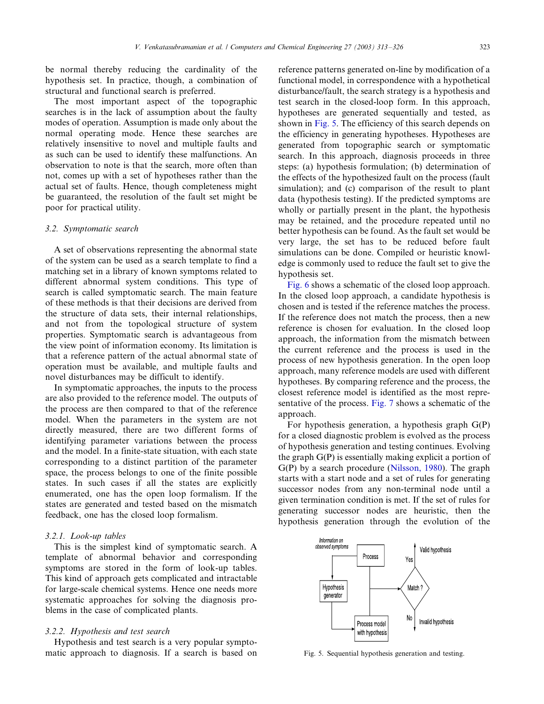be normal thereby reducing the cardinality of the hypothesis set. In practice, though, a combination of structural and functional search is preferred.

The most important aspect of the topographic searches is in the lack of assumption about the faulty modes of operation. Assumption is made only about the normal operating mode. Hence these searches are relatively insensitive to novel and multiple faults and as such can be used to identify these malfunctions. An observation to note is that the search, more often than not, comes up with a set of hypotheses rather than the actual set of faults. Hence, though completeness might be guaranteed, the resolution of the fault set might be poor for practical utility.

## 3.2. Symptomatic search

A set of observations representing the abnormal state of the system can be used as a search template to find a matching set in a library of known symptoms related to different abnormal system conditions. This type of search is called symptomatic search. The main feature of these methods is that their decisions are derived from the structure of data sets, their internal relationships, and not from the topological structure of system properties. Symptomatic search is advantageous from the view point of information economy. Its limitation is that a reference pattern of the actual abnormal state of operation must be available, and multiple faults and novel disturbances may be difficult to identify.

In symptomatic approaches, the inputs to the process are also provided to the reference model. The outputs of the process are then compared to that of the reference model. When the parameters in the system are not directly measured, there are two different forms of identifying parameter variations between the process and the model. In a finite-state situation, with each state corresponding to a distinct partition of the parameter space, the process belongs to one of the finite possible states. In such cases if all the states are explicitly enumerated, one has the open loop formalism. If the states are generated and tested based on the mismatch feedback, one has the closed loop formalism.

#### 3.2.1. Look-up tables

This is the simplest kind of symptomatic search. A template of abnormal behavior and corresponding symptoms are stored in the form of look-up tables. This kind of approach gets complicated and intractable for large-scale chemical systems. Hence one needs more systematic approaches for solving the diagnosis problems in the case of complicated plants.

#### 3.2.2. Hypothesis and test search

Hypothesis and test search is a very popular symptomatic approach to diagnosis. If a search is based on reference patterns generated on-line by modification of a functional model, in correspondence with a hypothetical disturbance/fault, the search strategy is a hypothesis and test search in the closed-loop form. In this approach, hypotheses are generated sequentially and tested, as shown in Fig. 5. The efficiency of this search depends on the efficiency in generating hypotheses. Hypotheses are generated from topographic search or symptomatic search. In this approach, diagnosis proceeds in three steps: (a) hypothesis formulation; (b) determination of the effects of the hypothesized fault on the process (fault simulation); and (c) comparison of the result to plant data (hypothesis testing). If the predicted symptoms are wholly or partially present in the plant, the hypothesis may be retained, and the procedure repeated until no better hypothesis can be found. As the fault set would be very large, the set has to be reduced before fault simulations can be done. Compiled or heuristic knowledge is commonly used to reduce the fault set to give the hypothesis set.

Fig. 6 shows a schematic of the closed loop approach. In the closed loop approach, a candidate hypothesis is chosen and is tested if the reference matches the process. If the reference does not match the process, then a new reference is chosen for evaluation. In the closed loop approach, the information from the mismatch between the current reference and the process is used in the process of new hypothesis generation. In the open loop approach, many reference models are used with different hypotheses. By comparing reference and the process, the closest reference model is identified as the most representative of the process. Fig. 7 shows a schematic of the approach.

For hypothesis generation, a hypothesis graph G(P) for a closed diagnostic problem is evolved as the process of hypothesis generation and testing continues. Evolving the graph G(P) is essentially making explicit a portion of G(P) by a search procedure (Nilsson, 1980). The graph starts with a start node and a set of rules for generating successor nodes from any non-terminal node until a given termination condition is met. If the set of rules for generating successor nodes are heuristic, then the hypothesis generation through the evolution of the



Fig. 5. Sequential hypothesis generation and testing.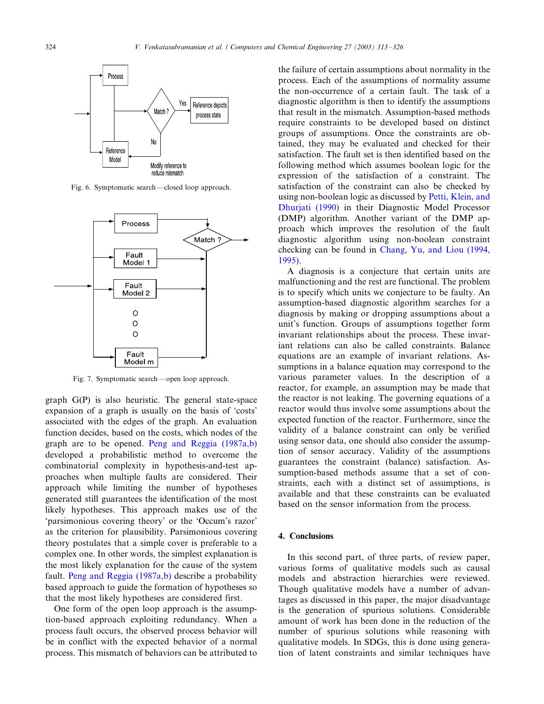

Fig. 6. Symptomatic search—closed loop approach.



Fig. 7. Symptomatic search—open loop approach.

graph G(P) is also heuristic. The general state-space expansion of a graph is usually on the basis of 'costs' associated with the edges of the graph. An evaluation function decides, based on the costs, which nodes of the graph are to be opened. Peng and Reggia (1987a,b) developed a probabilistic method to overcome the combinatorial complexity in hypothesis-and-test approaches when multiple faults are considered. Their approach while limiting the number of hypotheses generated still guarantees the identification of the most likely hypotheses. This approach makes use of the 'parsimonious covering theory' or the 'Occum's razor' as the criterion for plausibility. Parsimonious covering theory postulates that a simple cover is preferable to a complex one. In other words, the simplest explanation is the most likely explanation for the cause of the system fault. Peng and Reggia (1987a,b) describe a probability based approach to guide the formation of hypotheses so that the most likely hypotheses are considered first.

One form of the open loop approach is the assumption-based approach exploiting redundancy. When a process fault occurs, the observed process behavior will be in conflict with the expected behavior of a normal process. This mismatch of behaviors can be attributed to

the failure of certain assumptions about normality in the process. Each of the assumptions of normality assume the non-occurrence of a certain fault. The task of a diagnostic algorithm is then to identify the assumptions that result in the mismatch. Assumption-based methods require constraints to be developed based on distinct groups of assumptions. Once the constraints are obtained, they may be evaluated and checked for their satisfaction. The fault set is then identified based on the following method which assumes boolean logic for the expression of the satisfaction of a constraint. The satisfaction of the constraint can also be checked by using non-boolean logic as discussed by Petti, Klein, and Dhurjati (1990) in their Diagnostic Model Processor (DMP) algorithm. Another variant of the DMP approach which improves the resolution of the fault diagnostic algorithm using non-boolean constraint checking can be found in Chang, Yu, and Liou (1994, 1995).

A diagnosis is a conjecture that certain units are malfunctioning and the rest are functional. The problem is to specify which units we conjecture to be faulty. An assumption-based diagnostic algorithm searches for a diagnosis by making or dropping assumptions about a unit's function. Groups of assumptions together form invariant relationships about the process. These invariant relations can also be called constraints. Balance equations are an example of invariant relations. Assumptions in a balance equation may correspond to the various parameter values. In the description of a reactor, for example, an assumption may be made that the reactor is not leaking. The governing equations of a reactor would thus involve some assumptions about the expected function of the reactor. Furthermore, since the validity of a balance constraint can only be verified using sensor data, one should also consider the assumption of sensor accuracy. Validity of the assumptions guarantees the constraint (balance) satisfaction. Assumption-based methods assume that a set of constraints, each with a distinct set of assumptions, is available and that these constraints can be evaluated based on the sensor information from the process.

## 4. Conclusions

In this second part, of three parts, of review paper, various forms of qualitative models such as causal models and abstraction hierarchies were reviewed. Though qualitative models have a number of advantages as discussed in this paper, the major disadvantage is the generation of spurious solutions. Considerable amount of work has been done in the reduction of the number of spurious solutions while reasoning with qualitative models. In SDGs, this is done using generation of latent constraints and similar techniques have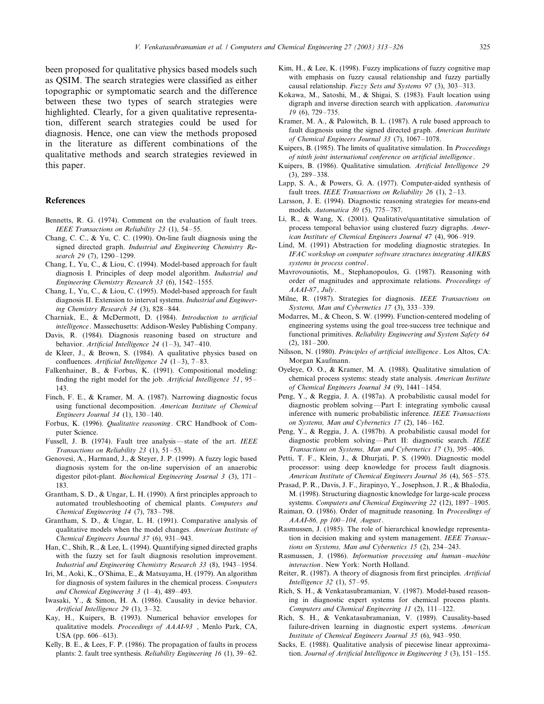been proposed for qualitative physics based models such as QSIM. The search strategies were classified as either topographic or symptomatic search and the difference between these two types of search strategies were highlighted. Clearly, for a given qualitative representation, different search strategies could be used for diagnosis. Hence, one can view the methods proposed in the literature as different combinations of the qualitative methods and search strategies reviewed in this paper.

#### References

- Bennetts, R. G. (1974). Comment on the evaluation of fault trees. IEEE Transactions on Reliability 23 (1), 54-55.
- Chang, C. C., & Yu, C. C. (1990). On-line fault diagnosis using the signed directed graph. Industrial and Engineering Chemistry Research 29 (7), 1290–1299.
- Chang, I., Yu, C., & Liou, C. (1994). Model-based approach for fault diagnosis I. Principles of deep model algorithm. Industrial and Engineering Chemistry Research 33 (6), 1542-1555.
- Chang, I., Yu, C., & Liou, C. (1995). Model-based approach for fault diagnosis II. Extension to interval systems. Industrial and Engineering Chemistry Research 34 (3), 828-844.
- Charniak, E., & McDermott, D. (1984). Introduction to artificial intelligence . Massechusetts: Addison-Wesley Publishing Company.
- Davis, R. (1984). Diagnosis reasoning based on structure and behavior. Artificial Intelligence 24  $(1-3)$ , 347-410.
- de Kleer, J., & Brown, S. (1984). A qualitative physics based on confluences. Artificial Intelligence 24  $(1-3)$ , 7-83.
- Falkenhainer, B., & Forbus, K. (1991). Compositional modeling: finding the right model for the job. Artificial Intelligence 51, 95-143.
- Finch, F. E., & Kramer, M. A. (1987). Narrowing diagnostic focus using functional decomposition. American Institute of Chemical Engineers Journal 34 (1), 130-140.
- Forbus, K. (1996). Qualitative reasoning. CRC Handbook of Computer Science.
- Fussell, J. B. (1974). Fault tree analysis-state of the art. IEEE Transactions on Reliability 23  $(1)$ , 51-53.
- Genovesi, A., Harmand, J., & Steyer, J. P. (1999). A fuzzy logic based diagnosis system for the on-line supervision of an anaerobic digestor pilot-plant. Biochemical Engineering Journal 3 (3), 171-183.
- Grantham, S. D., & Ungar, L. H. (1990). A first principles approach to automated troubleshooting of chemical plants. Computers and Chemical Engineering 14 (7), 783-798.
- Grantham, S. D., & Ungar, L. H. (1991). Comparative analysis of qualitative models when the model changes. American Institute of Chemical Engineers Journal 37 (6), 931-943.
- Han, C., Shih, R., & Lee, L. (1994). Quantifying signed directed graphs with the fuzzy set for fault diagnosis resolution improvement. Industrial and Engineering Chemistry Research 33 (8), 1943-1954.
- Iri, M., Aoki, K., O'Shima, E., & Matsuyama, H. (1979). An algorithm for diagnosis of system failures in the chemical process. Computers and Chemical Engineering  $3(1-4)$ , 489-493.
- Iwasaki, Y., & Simon, H. A. (1986). Causality in device behavior. Artificial Intelligence 29 (1), 3-32.
- Kay, H., Kuipers, B. (1993). Numerical behavior envelopes for qualitative models. Proceedings of AAAI-93 , Menlo Park, CA, USA (pp. 606-613).
- Kelly, B. E., & Lees, F. P. (1986). The propagation of faults in process plants: 2. fault tree synthesis. Reliability Engineering 16 (1), 39-62.
- Kim, H., & Lee, K. (1998). Fuzzy implications of fuzzy cognitive map with emphasis on fuzzy causal relationship and fuzzy partially causal relationship. Fuzzy Sets and Systems 97 (3), 303-313.
- Kokawa, M., Satoshi, M., & Shigai, S. (1983). Fault location using digraph and inverse direction search with application. Automatica 19 (6), 729 - 735.
- Kramer, M. A., & Palowitch, B. L. (1987). A rule based approach to fault diagnosis using the signed directed graph. American Institute of Chemical Engineers Journal 33 (7), 1067-1078.
- Kuipers, B. (1985). The limits of qualitative simulation. In Proceedings of ninth joint international conference on artificial intelligence .
- Kuipers, B. (1986). Qualitative simulation. Artificial Intelligence 29  $(3), 289 - 338.$
- Lapp, S. A., & Powers, G. A. (1977). Computer-aided synthesis of fault trees. IEEE Transactions on Reliability  $26$  (1),  $2-13$ .
- Larsson, J. E. (1994). Diagnostic reasoning strategies for means-end models. Automatica 30 (5), 775-787.
- Li, R., & Wang, X. (2001). Qualitative/quantitative simulation of process temporal behavior using clustered fuzzy digraphs. American Institute of Chemical Engineers Journal 47 (4), 906-919.
- Lind, M. (1991) Abstraction for modeling diagnostic strategies. In IFAC workshop on computer software structures integrating AI/KBS systems in process control.
- Mavrovouniotis, M., Stephanopoulos, G. (1987). Reasoning with order of magnitudes and approximate relations. Proceedings of AAAI-87, July.
- Milne, R. (1987). Strategies for diagnosis. IEEE Transactions on Systems, Man and Cybernetics 17 (3), 333-339.
- Modarres, M., & Cheon, S. W. (1999). Function-centered modeling of engineering systems using the goal tree-success tree technique and functional primitives. Reliability Engineering and System Safety 64  $(2), 181 - 200.$
- Nilsson, N. (1980). Principles of artificial intelligence . Los Altos, CA: Morgan Kaufmann.
- Oyeleye, O. O., & Kramer, M. A. (1988). Qualitative simulation of chemical process systems: steady state analysis. American Institute of Chemical Engineers Journal 34 (9), 1441-1454.
- Peng, Y., & Reggia, J. A. (1987a). A probabilistic causal model for diagnostic problem solving-Part I: integrating symbolic causal inference with numeric probabilistic inference. IEEE Transactions on Systems, Man and Cybernetics 17 (2), 146-162.
- Peng, Y., & Reggia, J. A. (1987b). A probabilistic causal model for diagnostic problem solving-Part II: diagnostic search. IEEE Transactions on Systems, Man and Cybernetics 17 (3), 395-406.
- Petti, T. F., Klein, J., & Dhurjati, P. S. (1990). Diagnostic model processor: using deep knowledge for process fault diagnosis. American Institute of Chemical Engineers Journal 36 (4), 565–575.
- Prasad, P. R., Davis, J. F., Jirapinyo, Y., Josephson, J. R., & Bhalodia, M. (1998). Structuring diagnostic knowledge for large-scale process systems. Computers and Chemical Engineering 22 (12), 1897-1905.
- Raiman, O. (1986). Order of magnitude reasoning. In Proceedings of AAAI-86, pp 100-104, August.
- Rasmussen, J. (1985). The role of hierarchical knowledge representation in decision making and system management. IEEE Transactions on Systems, Man and Cybernetics 15 (2), 234-243.
- Rasmussen, J. (1986). Information processing and human-machine interaction. New York: North Holland.
- Reiter, R. (1987). A theory of diagnosis from first principles. Artificial Intelligence 32 (1), 57-95.
- Rich, S. H., & Venkatasubramanian, V. (1987). Model-based reasoning in diagnostic expert systems for chemical process plants. Computers and Chemical Engineering 11 (2), 111-122.
- Rich, S. H., & Venkatasubramanian, V. (1989). Causality-based failure-driven learning in diagnostic expert systems. American Institute of Chemical Engineers Journal 35 (6), 943-950.
- Sacks, E. (1988). Qualitative analysis of piecewise linear approximation. Journal of Artificial Intelligence in Engineering 3 (3), 151-155.